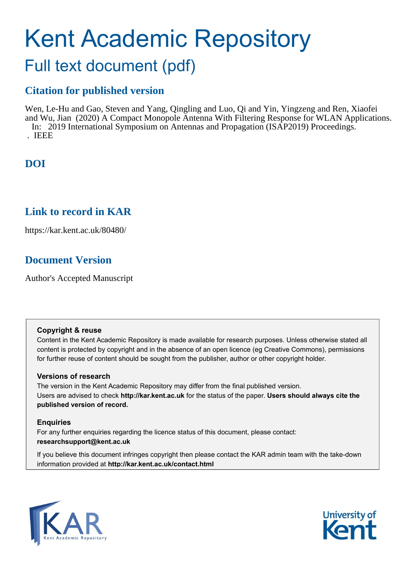# Kent Academic Repository

# Full text document (pdf)

### **Citation for published version**

Wen, Le-Hu and Gao, Steven and Yang, Qingling and Luo, Qi and Yin, Yingzeng and Ren, Xiaofei and Wu, Jian (2020) A Compact Monopole Antenna With Filtering Response for WLAN Applications. In: 2019 International Symposium on Antennas and Propagation (ISAP2019) Proceedings. . IEEE

# **DOI**

### **Link to record in KAR**

https://kar.kent.ac.uk/80480/

# **Document Version**

Author's Accepted Manuscript

### **Copyright & reuse**

Content in the Kent Academic Repository is made available for research purposes. Unless otherwise stated all content is protected by copyright and in the absence of an open licence (eg Creative Commons), permissions for further reuse of content should be sought from the publisher, author or other copyright holder.

### **Versions of research**

The version in the Kent Academic Repository may differ from the final published version. Users are advised to check **http://kar.kent.ac.uk** for the status of the paper. **Users should always cite the published version of record.**

### **Enquiries**

For any further enquiries regarding the licence status of this document, please contact: **researchsupport@kent.ac.uk**

If you believe this document infringes copyright then please contact the KAR admin team with the take-down information provided at **http://kar.kent.ac.uk/contact.html**



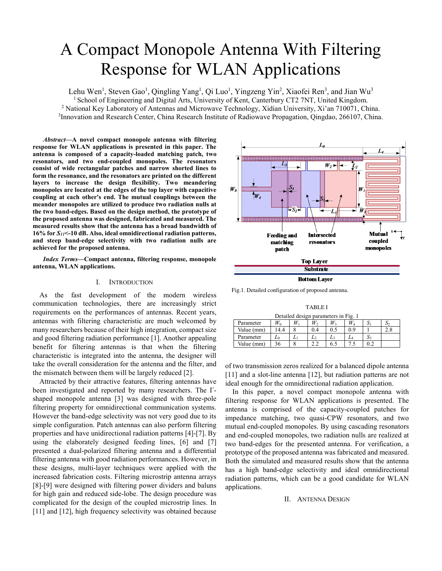# A Compact Monopole Antenna With Filtering Response for WLAN Applications

Lehu Wen<sup>1</sup>, Steven Gao<sup>1</sup>, Qingling Yang<sup>1</sup>, Qi Luo<sup>1</sup>, Yingzeng Yin<sup>2</sup>, Xiaofei Ren<sup>3</sup>, and Jian Wu<sup>3</sup> <sup>1</sup> School of Engineering and Digital Arts, University of Kent, Canterbury CT2 7NT, United Kingdom. <sup>2</sup> National Key Laboratory of Antennas and Microwave Technology, Xidian University, Xi'an 710071, China. <sup>3</sup> Innovation and Research Center, China Research Institute of Radiowave Propagation, Qingdao, 266107, China.

*Abstract***—A novel compact monopole antenna with filtering response for WLAN applications is presented in this paper. The antenna is composed of a capacity-loaded matching patch, two resonators, and two end-coupled monopoles. The resonators consist of wide rectangular patches and narrow shorted lines to form the resonance, and the resonators are printed on the different layers to increase the design flexibility. Two meandering monopoles are located at the edges of the top layer with capacitive coupling at each other's end. The mutual couplings between the meander monopoles are utilized to produce two radiation nulls at the two band-edges. Based on the design method, the prototype of the proposed antenna was designed, fabricated and measured. The measured results show that the antenna has a broad bandwidth of 16% for** *S11***<-10 dB. Also, ideal omnidirectional radiation patterns, and steep band-edge selectivity with two radiation nulls are achieved for the proposed antenna.** 

*Index Terms***—Compact antenna, filtering response, monopole antenna, WLAN applications.** 

### I. INTRODUCTION

As the fast development of the modern wireless communication technologies, there are increasingly strict requirements on the performances of antennas. Recent years, antennas with filtering characteristic are much welcomed by many researchers because of their high integration, compact size and good filtering radiation performance [1]. Another appealing benefit for filtering antennas is that when the filtering characteristic is integrated into the antenna, the designer will take the overall consideration for the antenna and the filter, and the mismatch between them will be largely reduced [2].

Attracted by their attractive features, filtering antennas have been investigated and reported by many researchers. The Γshaped monopole antenna [3] was designed with three-pole filtering property for omnidirectional communication systems. However the band-edge selectivity was not very good due to its simple configuration. Patch antennas can also perform filtering properties and have unidirectional radiation patterns [4]-[7]. By using the elaborately designed feeding lines, [6] and [7] presented a dual-polarized filtering antenna and a differential filtering antenna with good radiation performances. However, in these designs, multi-layer techniques were applied with the increased fabrication costs. Filtering microstrip antenna arrays [8]-[9] were designed with filtering power dividers and baluns for high gain and reduced side-lobe. The design procedure was complicated for the design of the coupled microstrip lines. In [11] and [12], high frequency selectivity was obtained because



Fig.1. Detailed configuration of proposed antenna.

TABLE I Detailed design parameters in Fig. 1

| Detailed design parameters in Fig. 1 |      |  |     |     |         |     |    |
|--------------------------------------|------|--|-----|-----|---------|-----|----|
| Parameter                            |      |  | W,  | W,  | $W_{A}$ |     | Ω÷ |
| Value (mm)                           | 14.4 |  | 0.4 | 0.5 | 09      |     |    |
| Parameter                            | ⊷    |  |     |     | LA      | :د  |    |
| Value (mm)                           |      |  |     | 6.5 |         | 0.2 |    |

of two transmission zeros realized for a balanced dipole antenna [11] and a slot-line antenna [12], but radiation patterns are not ideal enough for the omnidirectional radiation application.

In this paper, a novel compact monopole antenna with filtering response for WLAN applications is presented. The antenna is comprised of the capacity-coupled patches for impedance matching, two quasi-CPW resonators, and two mutual end-coupled monopoles. By using cascading resonators and end-coupled monopoles, two radiation nulls are realized at two band-edges for the presented antenna. For verification, a prototype of the proposed antenna was fabricated and measured. Both the simulated and measured results show that the antenna has a high band-edge selectivity and ideal omnidirectional radiation patterns, which can be a good candidate for WLAN applications.

### II. ANTENNA DESIGN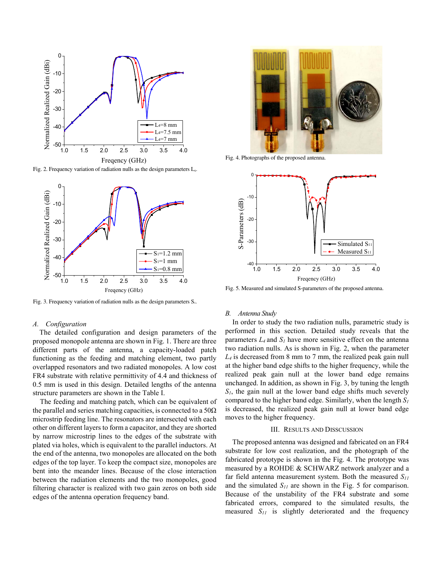

Fig. 2. Frequency variation of radiation nulls as the design parameters  $L_4$ .



Fig. 3. Frequency variation of radiation nulls as the design parameters  $S<sub>1</sub>$ .

### *A. Configuration*

The detailed configuration and design parameters of the proposed monopole antenna are shown in Fig. 1. There are three different parts of the antenna, a capacity-loaded patch functioning as the feeding and matching element, two partly overlapped resonators and two radiated monopoles. A low cost FR4 substrate with relative permittivity of 4.4 and thickness of 0.5 mm is used in this design. Detailed lengths of the antenna structure parameters are shown in the Table I.

The feeding and matching patch, which can be equivalent of the parallel and series matching capacities, is connected to a  $50\Omega$ microstrip feeding line. The resonators are intersected with each other on different layers to form a capacitor, and they are shorted by narrow microstrip lines to the edges of the substrate with plated via holes, which is equivalent to the parallel inductors. At the end of the antenna, two monopoles are allocated on the both edges of the top layer. To keep the compact size, monopoles are bent into the meander lines. Because of the close interaction between the radiation elements and the two monopoles, good filtering character is realized with two gain zeros on both side edges of the antenna operation frequency band.



Fig. 4. Photographs of the proposed antenna.



Fig. 5. Measured and simulated S-parameters of the proposed antenna.

### *B. Antenna Study*

In order to study the two radiation nulls, parametric study is performed in this section. Detailed study reveals that the parameters  $L_4$  and  $S_1$  have more sensitive effect on the antenna two radiation nulls. As is shown in Fig. 2, when the parameter  $L_4$  is decreased from 8 mm to 7 mm, the realized peak gain null at the higher band edge shifts to the higher frequency, while the realized peak gain null at the lower band edge remains unchanged. In addition, as shown in Fig. 3, by tuning the length  $S_l$ , the gain null at the lower band edge shifts much severely compared to the higher band edge. Similarly, when the length *S1* is decreased, the realized peak gain null at lower band edge moves to the higher frequency.

#### III. RESULTS AND DISSCUSSION

The proposed antenna was designed and fabricated on an FR4 substrate for low cost realization, and the photograph of the fabricated prototype is shown in the Fig. 4. The prototype was measured by a ROHDE & SCHWARZ network analyzer and a far field antenna measurement system. Both the measured  $S_{II}$ and the simulated  $S_{II}$  are shown in the Fig. 5 for comparison. Because of the unstability of the FR4 substrate and some fabricated errors, compared to the simulated results, the measured *S11* is slightly deteriorated and the frequency